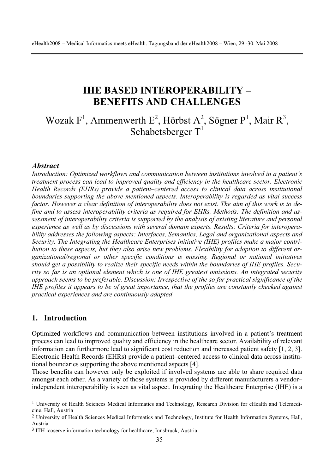## **IHE BASED INTEROPERABILITY – BENEFITS AND CHALLENGES**

# Wozak F<sup>1</sup>, Ammenwerth E<sup>2</sup>, Hörbst A<sup>2</sup>, Sögner P<sup>1</sup>, Mair R<sup>3</sup>, Schabetsberger  $T<sup>1</sup>$

#### *Abstract*

*Introduction: Optimized workflows and communication between institutions involved in a patient's treatment process can lead to improved quality and efficiency in the healthcare sector. Electronic Health Records (EHRs) provide a patient–centered access to clinical data across institutional boundaries supporting the above mentioned aspects. Interoperability is regarded as vital success factor. However a clear definition of interoperability does not exist. The aim of this work is to define and to assess interoperability criteria as required for EHRs. Methods: The definition and assessment of interoperability criteria is supported by the analysis of existing literature and personal experience as well as by discussions with several domain experts. Results: Criteria for interoperability addresses the following aspects: Interfaces, Semantics, Legal and organizational aspects and Security. The Integrating the Healthcare Enterprises initiative (IHE) profiles make a major contribution to these aspects, but they also arise new problems. Flexibility for adoption to different organizational/regional or other specific conditions is missing. Regional or national initiatives should get a possibility to realize their specific needs within the boundaries of IHE profiles. Security so far is an optional element which is one of IHE greatest omissions. An integrated security approach seems to be preferable. Discussion: Irrespective of the so far practical significance of the IHE profiles it appears to be of great importance, that the profiles are constantly checked against practical experiences and are continuously adapted* 

#### **1. Introduction**

Optimized workflows and communication between institutions involved in a patient's treatment process can lead to improved quality and efficiency in the healthcare sector. Availability of relevant information can furthermore lead to significant cost reduction and increased patient safety [1, 2, 3]. Electronic Health Records (EHRs) provide a patient–centered access to clinical data across institutional boundaries supporting the above mentioned aspects [4].

Those benefits can however only be exploited if involved systems are able to share required data amongst each other. As a variety of those systems is provided by different manufacturers a vendor– independent interoperability is seen as vital aspect. Integrating the Healthcare Enterprise (IHE) is a

<sup>1</sup> University of Health Sciences Medical Informatics and Technology, Research Division for eHealth and Telemedicine, Hall, Austria

<sup>2</sup> University of Health Sciences Medical Informatics and Technology, Institute for Health Information Systems, Hall, Austria

<sup>&</sup>lt;sup>3</sup> ITH icoserve information technology for healthcare, Innsbruck, Austria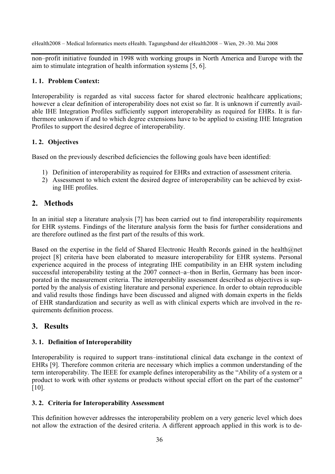non–profit initiative founded in 1998 with working groups in North America and Europe with the aim to stimulate integration of health information systems [5, 6].

#### **1. 1. Problem Context:**

Interoperability is regarded as vital success factor for shared electronic healthcare applications; however a clear definition of interoperability does not exist so far. It is unknown if currently available IHE Integration Profiles sufficiently support interoperability as required for EHRs. It is furthermore unknown if and to which degree extensions have to be applied to existing IHE Integration Profiles to support the desired degree of interoperability.

#### **1. 2. Objectives**

Based on the previously described deficiencies the following goals have been identified:

- 1) Definition of interoperability as required for EHRs and extraction of assessment criteria.
- 2) Assessment to which extent the desired degree of interoperability can be achieved by existing IHE profiles.

## **2. Methods**

In an initial step a literature analysis [7] has been carried out to find interoperability requirements for EHR systems. Findings of the literature analysis form the basis for further considerations and are therefore outlined as the first part of the results of this work.

Based on the expertise in the field of Shared Electronic Health Records gained in the health@net project [8] criteria have been elaborated to measure interoperability for EHR systems. Personal experience acquired in the process of integrating IHE compatibility in an EHR system including successful interoperability testing at the 2007 connect–a–thon in Berlin, Germany has been incorporated in the measurement criteria. The interoperability assessment described as objectives is supported by the analysis of existing literature and personal experience. In order to obtain reproducible and valid results those findings have been discussed and aligned with domain experts in the fields of EHR standardization and security as well as with clinical experts which are involved in the requirements definition process.

## **3. Results**

#### **3. 1. Definition of Interoperability**

Interoperability is required to support trans–institutional clinical data exchange in the context of EHRs [9]. Therefore common criteria are necessary which implies a common understanding of the term interoperability. The IEEE for example defines interoperability as the "Ability of a system or a product to work with other systems or products without special effort on the part of the customer" [10].

#### **3. 2. Criteria for Interoperability Assessment**

This definition however addresses the interoperability problem on a very generic level which does not allow the extraction of the desired criteria. A different approach applied in this work is to de-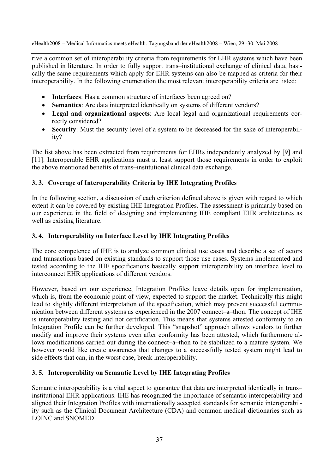rive a common set of interoperability criteria from requirements for EHR systems which have been published in literature. In order to fully support trans–institutional exchange of clinical data, basically the same requirements which apply for EHR systems can also be mapped as criteria for their interoperability. In the following enumeration the most relevant interoperability criteria are listed:

- **Interfaces**: Has a common structure of interfaces been agreed on?
- **Semantics**: Are data interpreted identically on systems of different vendors?
- x **Legal and organizational aspects**: Are local legal and organizational requirements correctly considered?
- **Security**: Must the security level of a system to be decreased for the sake of interoperability?

The list above has been extracted from requirements for EHRs independently analyzed by [9] and [11]. Interoperable EHR applications must at least support those requirements in order to exploit the above mentioned benefits of trans–institutional clinical data exchange.

#### **3. 3. Coverage of Interoperability Criteria by IHE Integrating Profiles**

In the following section, a discussion of each criterion defined above is given with regard to which extent it can be covered by existing IHE Integration Profiles. The assessment is primarily based on our experience in the field of designing and implementing IHE compliant EHR architectures as well as existing literature.

#### **3. 4. Interoperability on Interface Level by IHE Integrating Profiles**

The core competence of IHE is to analyze common clinical use cases and describe a set of actors and transactions based on existing standards to support those use cases. Systems implemented and tested according to the IHE specifications basically support interoperability on interface level to interconnect EHR applications of different vendors.

However, based on our experience, Integration Profiles leave details open for implementation, which is, from the economic point of view, expected to support the market. Technically this might lead to slightly different interpretation of the specification, which may prevent successful communication between different systems as experienced in the 2007 connect–a–thon. The concept of IHE is interoperability testing and not certification. This means that systems attested conformity to an Integration Profile can be further developed. This "snapshot" approach allows vendors to further modify and improve their systems even after conformity has been attested, which furthermore allows modifications carried out during the connect–a–thon to be stabilized to a mature system. We however would like create awareness that changes to a successfully tested system might lead to side effects that can, in the worst case, break interoperability.

#### **3. 5. Interoperability on Semantic Level by IHE Integrating Profiles**

Semantic interoperability is a vital aspect to guarantee that data are interpreted identically in trans– institutional EHR applications. IHE has recognized the importance of semantic interoperability and aligned their Integration Profiles with internationally accepted standards for semantic interoperability such as the Clinical Document Architecture (CDA) and common medical dictionaries such as LOINC and SNOMED.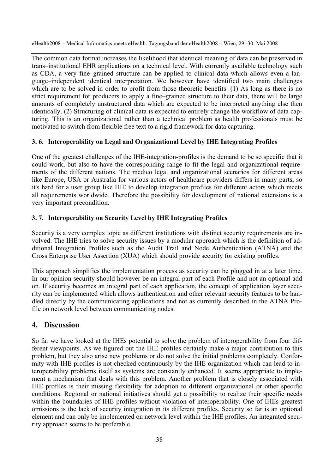The common data format increases the likelihood that identical meaning of data can be preserved in trans–institutional EHR applications on a technical level. With currently available technology such as CDA, a very fine–grained structure can be applied to clinical data which allows even a language–independent identical interpretation. We however have identified two main challenges which are to be solved in order to profit from those theoretic benefits: (1) As long as there is no strict requirement for producers to apply a fine–grained structure to their data, there will be large amounts of completely unstructured data which are expected to be interpreted anything else then identically. (2) Structuring of clinical data is expected to entirely change the workflow of data capturing. This is an organizational rather than a technical problem as health professionals must be motivated to switch from flexible free text to a rigid framework for data capturing.

#### **3. 6. Interoperability on Legal and Organizational Level by IHE Integrating Profiles**

One of the greatest challenges of the IHE-integration-profiles is the demand to be so specific that it could work, but also to have the corresponding range to fit the legal and organizational requirements of the different nations. The medico legal and organizational scenarios for different areas like Europe, USA or Australia for various actors of healthcare providers differs in many parts, so it's hard for a user group like IHE to develop integration profiles for different actors which meets all requirements worldwide. Therefore the possibility for development of national extensions is a very important precondition.

#### **3. 7. Interoperability on Security Level by IHE Integrating Profiles**

Security is a very complex topic as different institutions with distinct security requirements are involved. The IHE tries to solve security issues by a modular approach which is the definition of additional Integration Profiles such as the Audit Trail and Node Authentication (ATNA) and the Cross Enterprise User Assertion (XUA) which should provide security for existing profiles.

This approach simplifies the implementation process as security can be plugged in at a later time. In our opinion security should however be an integral part of each Profile and not an optional add on. If security becomes an integral part of each application, the concept of application layer security can be implemented which allows authentication and other relevant security features to be handled directly by the communicating applications and not as currently described in the ATNA Profile on network level between communicating nodes.

### **4. Discussion**

So far we have looked at the IHEs potential to solve the problem of interoperability from four different viewpoints. As we figured out the IHE profiles certainly make a major contribution to this problem, but they also arise new problems or do not solve the initial problems completely. Conformity with IHE profiles is not checked continuously by the IHE organization which can lead to interoperability problems itself as systems are constantly enhanced. It seems appropriate to implement a mechanism that deals with this problem. Another problem that is closely associated with IHE profiles is their missing flexibility for adoption to different organizational or other specific conditions. Regional or national initiatives should get a possibility to realize their specific needs within the boundaries of IHE profiles without violation of interoperability. One of IHEs greatest omissions is the lack of security integration in its different profiles. Security so far is an optional element and can only be implemented on network level within the IHE profiles. An integrated security approach seems to be preferable.